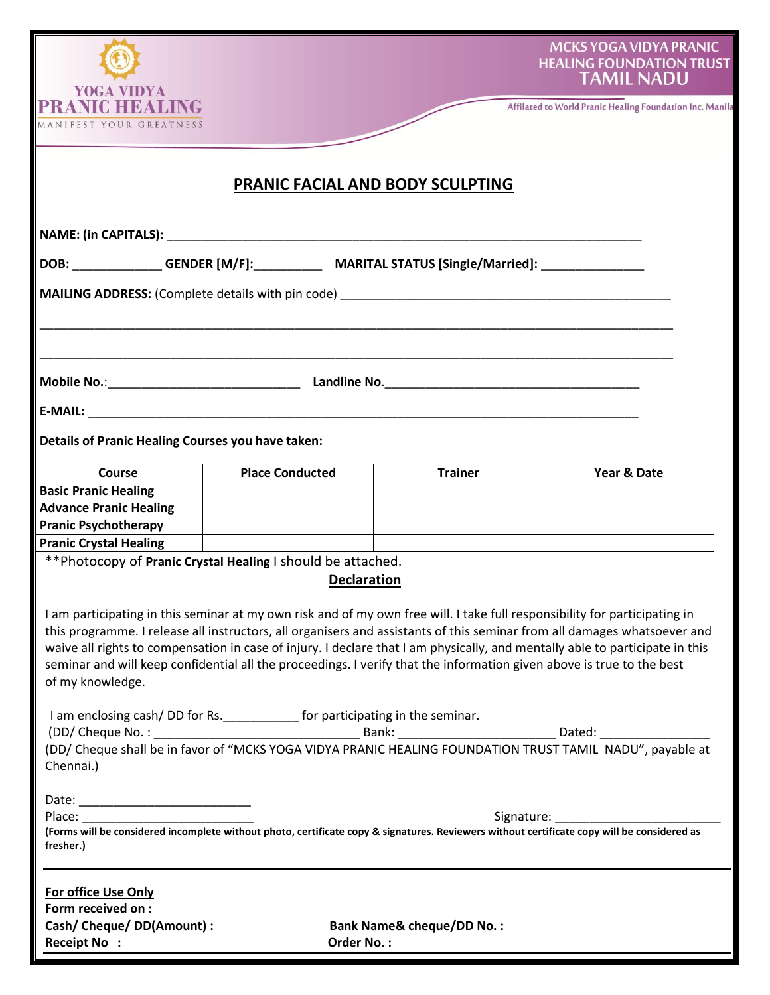